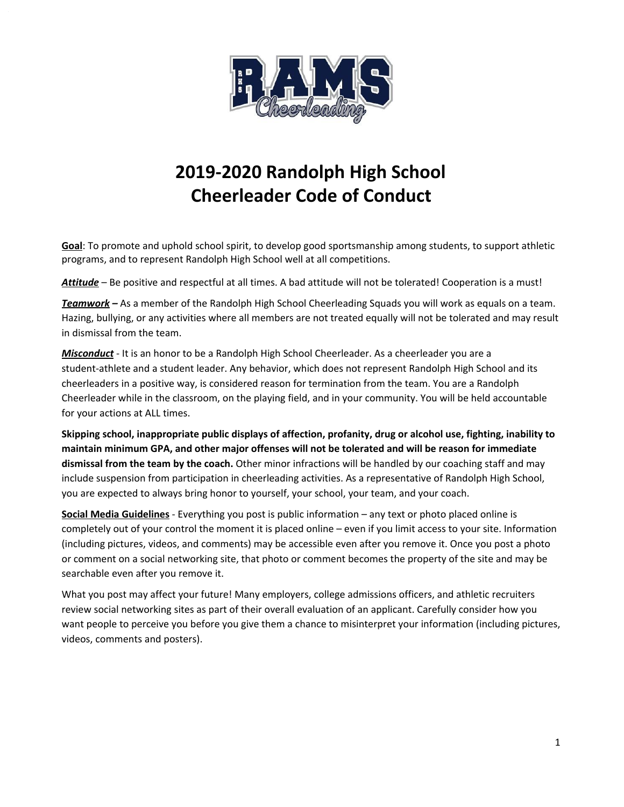

# 2019-2020 Randolph High School Cheerleader Code of Conduct

Goal: To promote and uphold school spirit, to develop good sportsmanship among students, to support athletic programs, and to represent Randolph High School well at all competitions.

Attitude – Be positive and respectful at all times. A bad attitude will not be tolerated! Cooperation is a must!

Teamwork – As a member of the Randolph High School Cheerleading Squads you will work as equals on a team. Hazing, bullying, or any activities where all members are not treated equally will not be tolerated and may result in dismissal from the team.

Misconduct - It is an honor to be a Randolph High School Cheerleader. As a cheerleader you are a student-athlete and a student leader. Any behavior, which does not represent Randolph High School and its cheerleaders in a positive way, is considered reason for termination from the team. You are a Randolph Cheerleader while in the classroom, on the playing field, and in your community. You will be held accountable for your actions at ALL times.

Skipping school, inappropriate public displays of affection, profanity, drug or alcohol use, fighting, inability to maintain minimum GPA, and other major offenses will not be tolerated and will be reason for immediate dismissal from the team by the coach. Other minor infractions will be handled by our coaching staff and may include suspension from participation in cheerleading activities. As a representative of Randolph High School, you are expected to always bring honor to yourself, your school, your team, and your coach.

Social Media Guidelines - Everything you post is public information – any text or photo placed online is completely out of your control the moment it is placed online – even if you limit access to your site. Information (including pictures, videos, and comments) may be accessible even after you remove it. Once you post a photo or comment on a social networking site, that photo or comment becomes the property of the site and may be searchable even after you remove it.

What you post may affect your future! Many employers, college admissions officers, and athletic recruiters review social networking sites as part of their overall evaluation of an applicant. Carefully consider how you want people to perceive you before you give them a chance to misinterpret your information (including pictures, videos, comments and posters).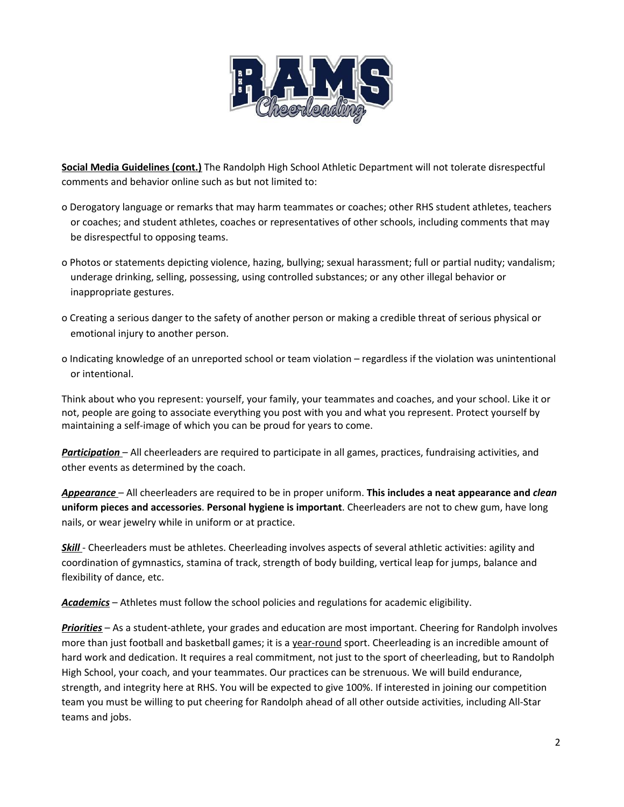

Social Media Guidelines (cont.) The Randolph High School Athletic Department will not tolerate disrespectful comments and behavior online such as but not limited to:

- o Derogatory language or remarks that may harm teammates or coaches; other RHS student athletes, teachers or coaches; and student athletes, coaches or representatives of other schools, including comments that may be disrespectful to opposing teams.
- o Photos or statements depicting violence, hazing, bullying; sexual harassment; full or partial nudity; vandalism; underage drinking, selling, possessing, using controlled substances; or any other illegal behavior or inappropriate gestures.
- o Creating a serious danger to the safety of another person or making a credible threat of serious physical or emotional injury to another person.
- o Indicating knowledge of an unreported school or team violation regardless if the violation was unintentional or intentional.

Think about who you represent: yourself, your family, your teammates and coaches, and your school. Like it or not, people are going to associate everything you post with you and what you represent. Protect yourself by maintaining a self-image of which you can be proud for years to come.

Participation – All cheerleaders are required to participate in all games, practices, fundraising activities, and other events as determined by the coach.

Appearance – All cheerleaders are required to be in proper uniform. This includes a neat appearance and clean uniform pieces and accessories. Personal hygiene is important. Cheerleaders are not to chew gum, have long nails, or wear jewelry while in uniform or at practice.

Skill - Cheerleaders must be athletes. Cheerleading involves aspects of several athletic activities: agility and coordination of gymnastics, stamina of track, strength of body building, vertical leap for jumps, balance and flexibility of dance, etc.

Academics – Athletes must follow the school policies and regulations for academic eligibility.

Priorities - As a student-athlete, your grades and education are most important. Cheering for Randolph involves more than just football and basketball games; it is a year-round sport. Cheerleading is an incredible amount of hard work and dedication. It requires a real commitment, not just to the sport of cheerleading, but to Randolph High School, your coach, and your teammates. Our practices can be strenuous. We will build endurance, strength, and integrity here at RHS. You will be expected to give 100%. If interested in joining our competition team you must be willing to put cheering for Randolph ahead of all other outside activities, including All-Star teams and jobs.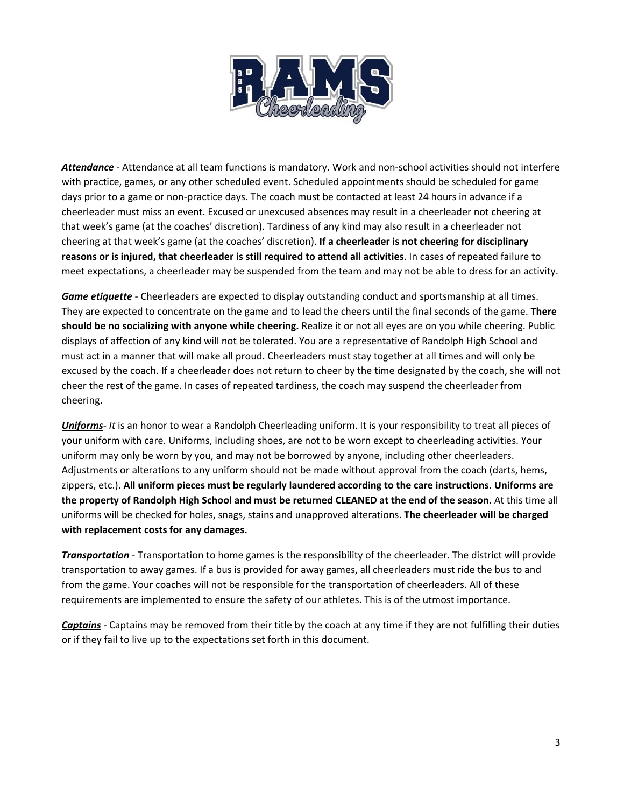

Attendance - Attendance at all team functions is mandatory. Work and non-school activities should not interfere with practice, games, or any other scheduled event. Scheduled appointments should be scheduled for game days prior to a game or non-practice days. The coach must be contacted at least 24 hours in advance if a cheerleader must miss an event. Excused or unexcused absences may result in a cheerleader not cheering at that week's game (at the coaches' discretion). Tardiness of any kind may also result in a cheerleader not cheering at that week's game (at the coaches' discretion). If a cheerleader is not cheering for disciplinary reasons or is injured, that cheerleader is still required to attend all activities. In cases of repeated failure to meet expectations, a cheerleader may be suspended from the team and may not be able to dress for an activity.

Game etiquette - Cheerleaders are expected to display outstanding conduct and sportsmanship at all times. They are expected to concentrate on the game and to lead the cheers until the final seconds of the game. There should be no socializing with anyone while cheering. Realize it or not all eyes are on you while cheering. Public displays of affection of any kind will not be tolerated. You are a representative of Randolph High School and must act in a manner that will make all proud. Cheerleaders must stay together at all times and will only be excused by the coach. If a cheerleader does not return to cheer by the time designated by the coach, she will not cheer the rest of the game. In cases of repeated tardiness, the coach may suspend the cheerleader from cheering.

Uniforms- It is an honor to wear a Randolph Cheerleading uniform. It is your responsibility to treat all pieces of your uniform with care. Uniforms, including shoes, are not to be worn except to cheerleading activities. Your uniform may only be worn by you, and may not be borrowed by anyone, including other cheerleaders. Adjustments or alterations to any uniform should not be made without approval from the coach (darts, hems, zippers, etc.). All uniform pieces must be regularly laundered according to the care instructions. Uniforms are the property of Randolph High School and must be returned CLEANED at the end of the season. At this time all uniforms will be checked for holes, snags, stains and unapproved alterations. The cheerleader will be charged with replacement costs for any damages.

Transportation - Transportation to home games is the responsibility of the cheerleader. The district will provide transportation to away games. If a bus is provided for away games, all cheerleaders must ride the bus to and from the game. Your coaches will not be responsible for the transportation of cheerleaders. All of these requirements are implemented to ensure the safety of our athletes. This is of the utmost importance.

Captains - Captains may be removed from their title by the coach at any time if they are not fulfilling their duties or if they fail to live up to the expectations set forth in this document.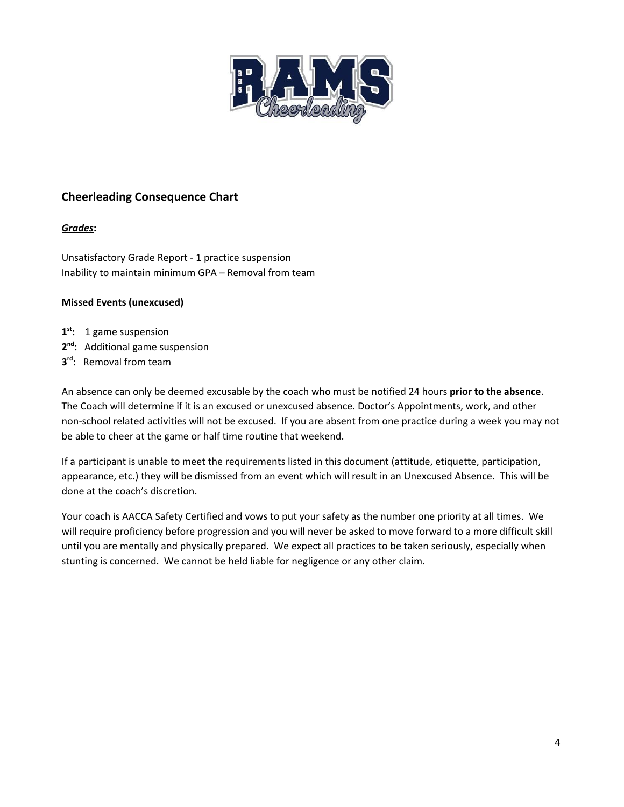

### Cheerleading Consequence Chart

#### Grades:

Unsatisfactory Grade Report - 1 practice suspension Inability to maintain minimum GPA – Removal from team

#### Missed Events (unexcused)

- 1<sup>st</sup>: 1 game suspension
- 2<sup>nd</sup>: Additional game suspension
- 3<sup>rd</sup>: Removal from team

An absence can only be deemed excusable by the coach who must be notified 24 hours prior to the absence. The Coach will determine if it is an excused or unexcused absence. Doctor's Appointments, work, and other non-school related activities will not be excused. If you are absent from one practice during a week you may not be able to cheer at the game or half time routine that weekend.

If a participant is unable to meet the requirements listed in this document (attitude, etiquette, participation, appearance, etc.) they will be dismissed from an event which will result in an Unexcused Absence. This will be done at the coach's discretion.

Your coach is AACCA Safety Certified and vows to put your safety as the number one priority at all times. We will require proficiency before progression and you will never be asked to move forward to a more difficult skill until you are mentally and physically prepared. We expect all practices to be taken seriously, especially when stunting is concerned. We cannot be held liable for negligence or any other claim.